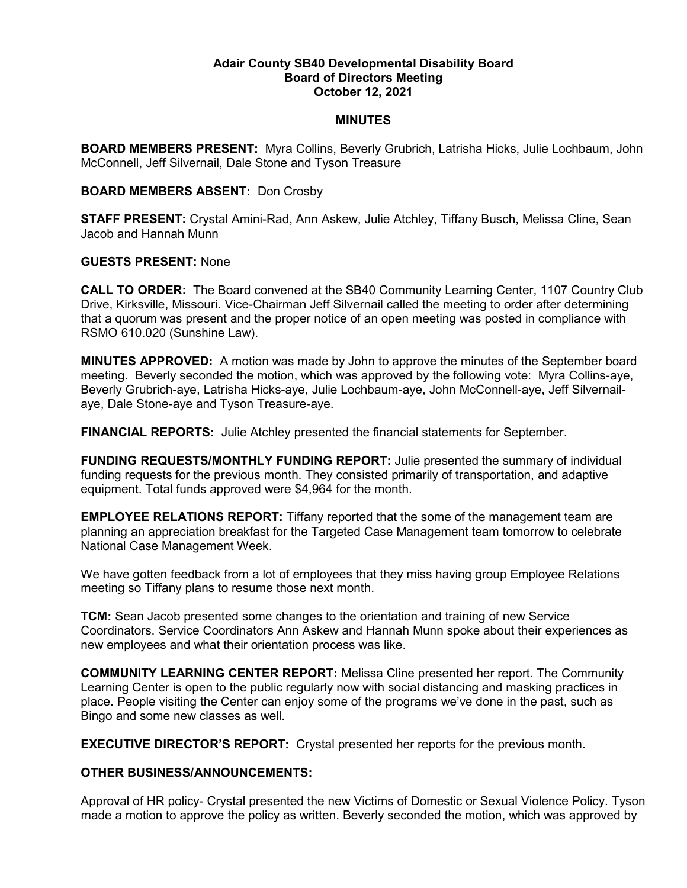### **Adair County SB40 Developmental Disability Board Board of Directors Meeting October 12, 2021**

### **MINUTES**

**BOARD MEMBERS PRESENT:** Myra Collins, Beverly Grubrich, Latrisha Hicks, Julie Lochbaum, John McConnell, Jeff Silvernail, Dale Stone and Tyson Treasure

## **BOARD MEMBERS ABSENT:** Don Crosby

**STAFF PRESENT:** Crystal Amini-Rad, Ann Askew, Julie Atchley, Tiffany Busch, Melissa Cline, Sean Jacob and Hannah Munn

## **GUESTS PRESENT:** None

**CALL TO ORDER:** The Board convened at the SB40 Community Learning Center, 1107 Country Club Drive, Kirksville, Missouri. Vice-Chairman Jeff Silvernail called the meeting to order after determining that a quorum was present and the proper notice of an open meeting was posted in compliance with RSMO 610.020 (Sunshine Law).

**MINUTES APPROVED:** A motion was made by John to approve the minutes of the September board meeting. Beverly seconded the motion, which was approved by the following vote: Myra Collins-aye, Beverly Grubrich-aye, Latrisha Hicks-aye, Julie Lochbaum-aye, John McConnell-aye, Jeff Silvernailaye, Dale Stone-aye and Tyson Treasure-aye.

**FINANCIAL REPORTS:** Julie Atchley presented the financial statements for September.

**FUNDING REQUESTS/MONTHLY FUNDING REPORT:** Julie presented the summary of individual funding requests for the previous month. They consisted primarily of transportation, and adaptive equipment. Total funds approved were \$4,964 for the month.

**EMPLOYEE RELATIONS REPORT:** Tiffany reported that the some of the management team are planning an appreciation breakfast for the Targeted Case Management team tomorrow to celebrate National Case Management Week.

We have gotten feedback from a lot of employees that they miss having group Employee Relations meeting so Tiffany plans to resume those next month.

**TCM:** Sean Jacob presented some changes to the orientation and training of new Service Coordinators. Service Coordinators Ann Askew and Hannah Munn spoke about their experiences as new employees and what their orientation process was like.

**COMMUNITY LEARNING CENTER REPORT:** Melissa Cline presented her report. The Community Learning Center is open to the public regularly now with social distancing and masking practices in place. People visiting the Center can enjoy some of the programs we've done in the past, such as Bingo and some new classes as well.

**EXECUTIVE DIRECTOR'S REPORT:** Crystal presented her reports for the previous month.

# **OTHER BUSINESS/ANNOUNCEMENTS:**

Approval of HR policy- Crystal presented the new Victims of Domestic or Sexual Violence Policy. Tyson made a motion to approve the policy as written. Beverly seconded the motion, which was approved by